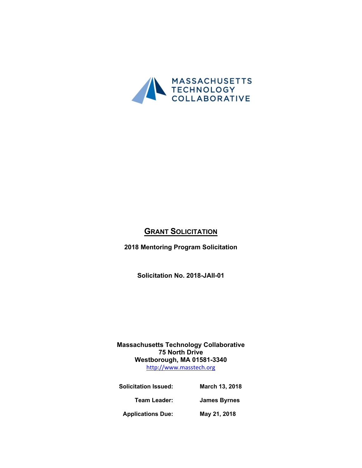

# **GRANT SOLICITATION**

**2018 Mentoring Program Solicitation**

**Solicitation No. 2018-JAII-01**

**Massachusetts Technology Collaborative 75 North Drive Westborough, MA 01581-3340** [http://www.masstech.org](http://www.masstech.org/)

**Solicitation Issued: March 13, 2018 Team Leader: James Byrnes Applications Due: May 21, 2018**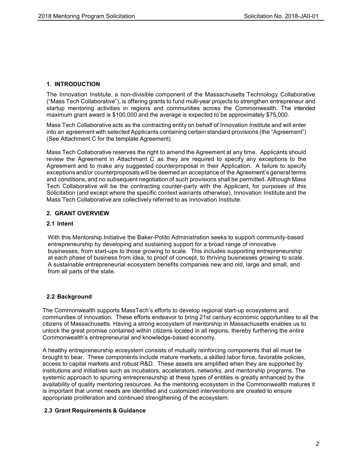## **1. INTRODUCTION**

The Innovation Institute, a non-divisible component of the Massachusetts Technology Collaborative ("Mass Tech Collaborative"), is offeringgrants to fund multi-year projects to strengthen entrepreneur and startup mentoring activities in regions and communities across the Commonwealth. The intended maximum grant award is \$100,000 and the average is expected to be approximately \$75,000.

Mass Tech Collaborative acts as the contracting entity on behalf of Innovation Institute and will enter into an agreement with selected Applicants containing certain standard provisions (the "Agreement") (See Attachment C for the template Agreement).

Mass Tech Collaborative reserves the right to amend the Agreement at any time. Applicants should review the Agreement in Attachment C as they are required to specify any exceptions to the Agreement and to make any suggested counterproposal in their Application. A failure to specify exceptions and/or counterproposals will be deemed an acceptance of the Agreement's general terms and conditions, and no subsequent negotiation of such provisions shall be permitted. Although Mass Tech Collaborative will be the contracting counter-party with the Applicant, for purposes of this Solicitation (and except where the specific context warrants otherwise), Innovation Institute and the Mass Tech Collaborative are collectively referred to as Innovation Institute.

## **2. GRANT OVERVIEW**

## **2.1 Intent**

With this Mentorship Initiative the Baker-Polito Administration seeks to support community-based entrepreneurship by developing and sustaining support for a broad range of innovative businesses, from start-ups to those growing to scale. This includes supporting entrepreneurship at each phase of business from idea, to proof of concept, to thriving businesses growing to scale. A sustainable entrepreneurial ecosystem benefits companies new and old, large and small, and from all parts of the state.

## **2.2 Background**

The Commonwealth supports MassTech's efforts to develop regional start-up ecosystems and communities of innovation. These efforts endeavor to bring 21st century economic opportunities to all the citizens of Massachusetts. Having a strong ecosystem of mentorship in Massachusetts enables us to unlock the great promise contained within citizens located in all regions, thereby furthering the entire Commonwealth's entrepreneurial and knowledge-based economy.

A healthy entrepreneurship ecosystem consists of mutually reinforcing components that all must be brought to bear. These components include mature markets, a skilled labor force, favorable policies, access to capital markets and robust R&D. These assets are amplified when they are supported by institutions and initiatives such as incubators, accelerators, networks, and mentorship programs. The systemic approach to spurring entrepreneurship at these types of entities is greatly enhanced by the availability of quality mentoring resources. As the mentoring ecosystem in the Commonwealth matures it is important that unmet needs are identified and customized interventions are created to ensure appropriate proliferation and continued strengthening of the ecosystem.

## **2.3 Grant Requirements & Guidance**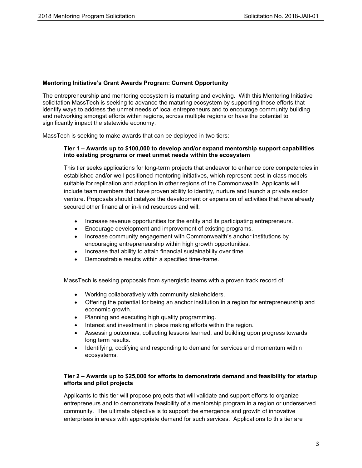## **Mentoring Initiative's Grant Awards Program: Current Opportunity**

The entrepreneurship and mentoring ecosystem is maturing and evolving. With this Mentoring Initiative solicitation MassTech is seeking to advance the maturing ecosystem by supporting those efforts that identify ways to address the unmet needs of local entrepreneurs and to encourage community building and networking amongst efforts within regions, across multiple regions or have the potential to significantly impact the statewide economy.

MassTech is seeking to make awards that can be deployed in two tiers:

## **Tier 1 – Awards up to \$100,000 to develop and/or expand mentorship support capabilities into existing programs or meet unmet needs within the ecosystem**

This tier seeks applications for long-term projects that endeavor to enhance core competencies in established and/or well-positioned mentoring initiatives, which represent best-in-class models suitable for replication and adoption in other regions of the Commonwealth. Applicants will include team members that have proven ability to identify, nurture and launch a private sector venture. Proposals should catalyze the development or expansion of activities that have already secured other financial or in-kind resources and will:

- Increase revenue opportunities for the entity and its participating entrepreneurs.
- Encourage development and improvement of existing programs.
- Increase community engagement with Commonwealth's anchor institutions by encouraging entrepreneurship within high growth opportunities.
- Increase that ability to attain financial sustainability over time.
- Demonstrable results within a specified time-frame.

MassTech is seeking proposals from synergistic teams with a proven track record of:

- Working collaboratively with community stakeholders.
- Offering the potential for being an anchor institution in a region for entrepreneurship and economic growth.
- Planning and executing high quality programming.
- Interest and investment in place making efforts within the region.
- Assessing outcomes, collecting lessons learned, and building upon progress towards long term results.
- Identifying, codifying and responding to demand for services and momentum within ecosystems.

## **Tier 2 – Awards up to \$25,000 for efforts to demonstrate demand and feasibility for startup efforts and pilot projects**

Applicants to this tier will propose projects that will validate and support efforts to organize entrepreneurs and to demonstrate feasibility of a mentorship program in a region or underserved community. The ultimate objective is to support the emergence and growth of innovative enterprises in areas with appropriate demand for such services. Applications to this tier are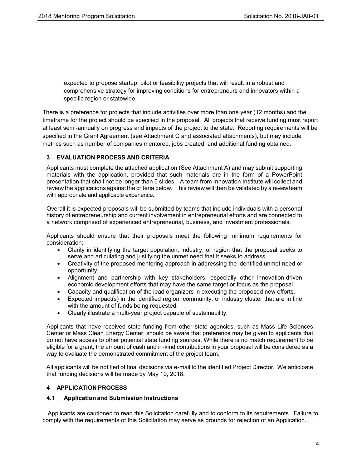expected to propose startup, pilot or feasibility projects that will result in a robust and comprehensive strategy for improving conditions for entrepreneurs and innovators within a specific region or statewide.

There is a preference for projects that include activities over more than one year (12 months) and the timeframe for the project should be specified in the proposal. All projects that receive funding must report at least semi-annually on progress and impacts of the project to the state. Reporting requirements will be specified in the Grant Agreement (see Attachment C and associated attachments), but may include metrics such as number of companies mentored, jobs created, and additional funding obtained.

## **3 EVALUATION PROCESS AND CRITERIA**

Applicants must complete the attached application (See Attachment A) and may submit supporting materials with the application, provided that such materials are in the form of a PowerPoint presentation that shall not be longer than 5 slides. A team from Innovation Institute will collectand review the applications against the criteria below. This review will then be validated by a review team with appropriate and applicable experience.

Overall it is expected proposals will be submitted by teams that include individuals with a personal history of entrepreneurship and current involvement in entrepreneurial efforts and are connected to a network comprised of experienced entrepreneurial, business, and investment professionals.

Applicants should ensure that their proposals meet the following minimum requirements for consideration:

- Clarity in identifying the target population, industry, or region that the proposal seeks to serve and articulating and justifying the unmet need that it seeks to address.
- Creativity of the proposed mentoring approach in addressing the identified unmet need or opportunity.
- Alignment and partnership with key stakeholders, especially other innovation-driven economic development efforts that may have the same target or focus as the proposal.
- Capacity and qualification of the lead organizers in executing the proposed new efforts.
- Expected impact(s) in the identified region, community, or industry cluster that are in line with the amount of funds being requested.
- Clearly illustrate a multi-year project capable of sustainability.

Applicants that have received state funding from other state agencies, such as Mass Life Sciences Center or Mass Clean Energy Center, should be aware that preference may be given to applicants that do not have access to other potential state funding sources. While there is no match requirement to be eligible for a grant, the amount of cash and in-kind contributions in your proposal will be considered as a way to evaluate the demonstrated commitment of the project team.

All applicants will be notified of final decisions via e-mail to the identified Project Director. We anticipate that funding decisions will be made by May 10, 2018.

## **4 APPLICATION PROCESS**

## **4.1 Application and Submission Instructions**

Applicants are cautioned to read this Solicitation carefully and to conform to its requirements. Failure to comply with the requirements of this Solicitation may serve as grounds for rejection of an Application.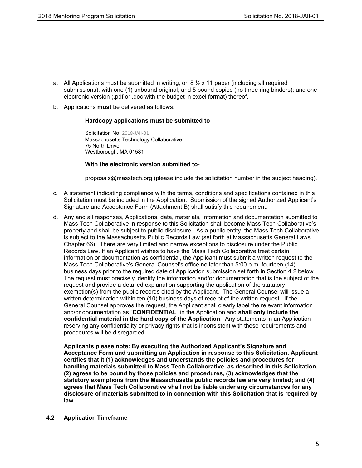- a. All Applications must be submitted in writing, on 8  $\frac{1}{2}$  x 11 paper (including all required submissions), with one (1) unbound original; and 5 bound copies (no three ring binders); and one electronic version (.pdf or .doc with the budget in excel format) thereof.
- b. Applications **must** be delivered as follows:

## **Hardcopy applications must be submitted to**-

Solicitation No. 2018-JAII-01 Massachusetts Technology Collaborative 75 North Drive Westborough, MA 01581

#### **With the electronic version submitted to**-

proposals@masstech.org (please include the solicitation number in the subject heading).

- c. A statement indicating compliance with the terms, conditions and specifications contained in this Solicitation must be included in the Application. Submission of the signed Authorized Applicant's Signature and Acceptance Form (Attachment B) shall satisfy this requirement.
- d. Any and all responses, Applications, data, materials, information and documentation submitted to Mass Tech Collaborative in response to this Solicitation shall become Mass Tech Collaborative's property and shall be subject to public disclosure. As a public entity, the Mass Tech Collaborative is subject to the Massachusetts Public Records Law (set forth at Massachusetts General Laws Chapter 66). There are very limited and narrow exceptions to disclosure under the Public Records Law. If an Applicant wishes to have the Mass Tech Collaborative treat certain information or documentation as confidential, the Applicant must submit a written request to the Mass Tech Collaborative's General Counsel's office no later than 5:00 p.m. fourteen (14) business days prior to the required date of Application submission set forth in Section 4.2 below. The request must precisely identify the information and/or documentation that is the subject of the request and provide a detailed explanation supporting the application of the statutory exemption(s) from the public records cited by the Applicant. The General Counsel will issue a written determination within ten (10) business days of receipt of the written request. If the General Counsel approves the request, the Applicant shall clearly label the relevant information and/or documentation as "**CONFIDENTIAL**" in the Application and **shall only include the confidential material in the hard copy of the Application**. Any statements in an Application reserving any confidentiality or privacy rights that is inconsistent with these requirements and procedures will be disregarded.

**Applicants please note: By executing the Authorized Applicant's Signature and Acceptance Form and submitting an Application in response to this Solicitation, Applicant certifies that it (1) acknowledges and understands the policies and procedures for handling materials submitted to Mass Tech Collaborative, as described in this Solicitation, (2) agrees to be bound by those policies and procedures, (3) acknowledges that the statutory exemptions from the Massachusetts public records law are very limited; and (4) agrees that Mass Tech Collaborative shall not be liable under any circumstances for any disclosure of materials submitted to in connection with this Solicitation that is required by law.**

## **4.2 Application Timeframe**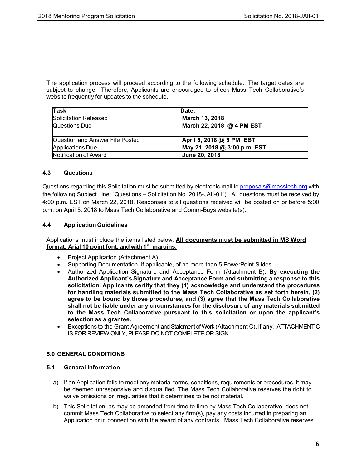The application process will proceed according to the following schedule. The target dates are subject to change. Therefore, Applicants are encouraged to check Mass Tech Collaborative's website frequently for updates to the schedule.

| Task                            | Date:                        |
|---------------------------------|------------------------------|
| Solicitation Released           | March 13, 2018               |
| Questions Due                   | March 22, 2018 @ 4 PM EST    |
|                                 |                              |
| Question and Answer File Posted | April 5, 2018 @ 5 PM EST     |
| Applications Due                | May 21, 2018 @ 3:00 p.m. EST |
| Notification of Award           | June 20, 2018                |

## **4.3 Questions**

Questions regarding this Solicitation must be submitted by electronic mail to [proposals@masstech.org](mailto:proposals@masstech.org) with the following Subject Line: "Questions – Solicitation No. 2018-JAII-01"). All questions must be received by 4:00 p.m. EST on March 22, 2018. Responses to all questions received will be posted on or before 5:00 p.m. on April 5, 2018 to Mass Tech Collaborative and Comm-Buys website(s).

## **4.4 Application Guidelines**

Applications must include the items listed below. **All documents must be submitted in MS Word format, Arial10 point font, and with 1" margins.**

- Project Application (Attachment A)
- Supporting Documentation, if applicable, of no more than 5 PowerPoint Slides
- Authorized Application Signature and Acceptance Form (Attachment B). **By executing the Authorized Applicant's Signatureand Acceptance Form and submitting a responseto this solicitation, Applicants certify that they (1) acknowledge and understand the procedures for handling materials submitted to the Mass Tech Collaborative as set forth herein, (2) agree to be bound by those procedures, and (3) agree that the Mass Tech Collaborative shall not be liable under any circumstances for the disclosure of any materials submitted to the Mass Tech Collaborative pursuant to this solicitation or upon the applicant's selection as a grantee.**
- Exceptions to the Grant Agreement and Statement of Work (Attachment C), if any. ATTACHMENT C IS FOR REVIEW ONLY, PLEASE DO NOT COMPLETE OR SIGN.

#### **5.0 GENERAL CONDITIONS**

## **5.1 General Information**

- a) If an Application fails to meet any material terms, conditions, requirements or procedures, it may be deemed unresponsive and disqualified. The Mass Tech Collaborative reserves the right to waive omissions or irregularities that it determines to be not material.
- b) This Solicitation, as may be amended from time to time by Mass Tech Collaborative, does not commit Mass Tech Collaborative to select any firm(s), pay any costs incurred in preparing an Application or in connection with the award of any contracts. Mass Tech Collaborative reserves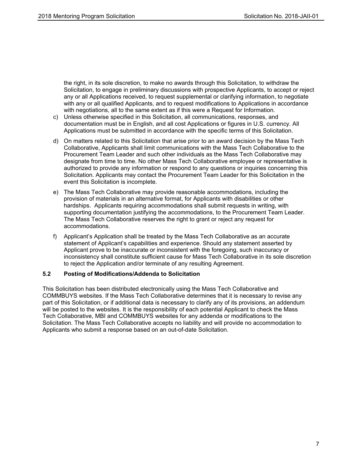the right, in its sole discretion, to make no awards through this Solicitation, to withdraw the Solicitation, to engage in preliminary discussions with prospective Applicants, to accept or reject any or all Applications received, to request supplemental or clarifying information, to negotiate with any or all qualified Applicants, and to request modifications to Applications in accordance with negotiations, all to the same extent as if this were a Request for Information.

- c) Unless otherwise specified in this Solicitation, all communications, responses, and documentation must be in English, and all cost Applications or figures in U.S. currency. All Applications must be submitted in accordance with the specific terms of this Solicitation.
- d) On matters related to this Solicitation that arise prior to an award decision by the Mass Tech Collaborative, Applicants shall limit communications with the Mass Tech Collaborative to the Procurement Team Leader and such other individuals as the Mass Tech Collaborative may designate from time to time. No other Mass Tech Collaborative employee or representative is authorized to provide any information or respond to any questions or inquiries concerning this Solicitation. Applicants may contact the Procurement Team Leader for this Solicitation in the event this Solicitation is incomplete.
- e) The Mass Tech Collaborative may provide reasonable accommodations, including the provision of materials in an alternative format, for Applicants with disabilities or other hardships. Applicants requiring accommodations shall submit requests in writing, with supporting documentation justifying the accommodations, to the Procurement Team Leader. The Mass Tech Collaborative reserves the right to grant or reject any request for accommodations.
- f) Applicant's Application shall be treated by the Mass Tech Collaborative as an accurate statement of Applicant's capabilities and experience. Should any statement asserted by Applicant prove to be inaccurate or inconsistent with the foregoing, such inaccuracy or inconsistency shall constitute sufficient cause for Mass Tech Collaborative in its sole discretion to reject the Application and/or terminate of any resulting Agreement.

## **5.2 Posting of Modifications/Addenda to Solicitation**

This Solicitation has been distributed electronically using the Mass Tech Collaborative and COMMBUYS websites. If the Mass Tech Collaborative determines that it is necessary to revise any part of this Solicitation, or if additional data is necessary to clarify any of its provisions, an addendum will be posted to the websites. It is the responsibility of each potential Applicant to check the Mass Tech Collaborative, MBI and COMMBUYS websites for any addenda or modifications to the Solicitation. The Mass Tech Collaborative accepts no liability and will provide no accommodation to Applicants who submit a response based on an out-of-date Solicitation.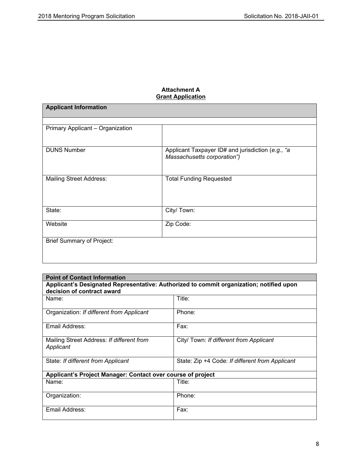## **Attachment A Grant Application**

| <b>Applicant Information</b>     |                                                                                  |  |
|----------------------------------|----------------------------------------------------------------------------------|--|
|                                  |                                                                                  |  |
| Primary Applicant - Organization |                                                                                  |  |
| <b>DUNS Number</b>               | Applicant Taxpayer ID# and jurisdiction (e.g., "a<br>Massachusetts corporation") |  |
| <b>Mailing Street Address:</b>   | <b>Total Funding Requested</b>                                                   |  |
| State:                           | City/ Town:                                                                      |  |
| Website                          | Zip Code:                                                                        |  |
| <b>Brief Summary of Project:</b> |                                                                                  |  |
|                                  |                                                                                  |  |

| <b>Point of Contact Information</b>                                                                                   |                                                 |  |
|-----------------------------------------------------------------------------------------------------------------------|-------------------------------------------------|--|
| Applicant's Designated Representative: Authorized to commit organization; notified upon<br>decision of contract award |                                                 |  |
| Name:                                                                                                                 | Title:                                          |  |
| Organization: If different from Applicant                                                                             | Phone:                                          |  |
| Email Address:                                                                                                        | Fax:                                            |  |
| Mailing Street Address: If different from<br>Applicant                                                                | City/ Town: If different from Applicant         |  |
| State: If different from Applicant                                                                                    | State: Zip +4 Code: If different from Applicant |  |
| Applicant's Project Manager: Contact over course of project                                                           |                                                 |  |
| Name:                                                                                                                 | Title:                                          |  |
| Organization:                                                                                                         | Phone:                                          |  |
| Email Address:                                                                                                        | Fax:                                            |  |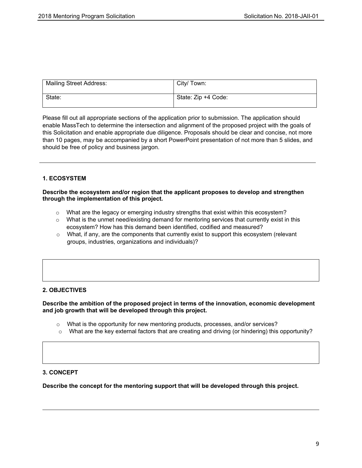| <b>Mailing Street Address:</b> | City/ Town:         |
|--------------------------------|---------------------|
| State:                         | State: Zip +4 Code: |

Please fill out all appropriate sections of the application prior to submission. The application should enable MassTech to determine the intersection and alignment of the proposed project with the goals of this Solicitation and enable appropriate due diligence. Proposals should be clear and concise, not more than 10 pages, may be accompanied by a short PowerPoint presentation of not more than 5 slides, and should be free of policy and business jargon.

## **1. ECOSYSTEM**

## **Describe the ecosystem and/or region that the applicant proposes to develop and strengthen through the implementation of this project.**

- o What are the legacy or emerging industry strengths that exist within this ecosystem?
- $\circ$  What is the unmet need/existing demand for mentoring services that currently exist in this ecosystem? How has this demand been identified, codified and measured?
- $\circ$  What, if any, are the components that currently exist to support this ecosystem (relevant groups, industries, organizations and individuals)?

## **2. OBJECTIVES**

## **Describe the ambition of the proposed project in terms of the innovation, economic development and job growth that will be developed through this project.**

- $\circ$  What is the opportunity for new mentoring products, processes, and/or services?
- o What are the key external factors that are creating and driving (or hindering) this opportunity?

## **3. CONCEPT**

**Describe the concept for the mentoring support that will be developed through this project.**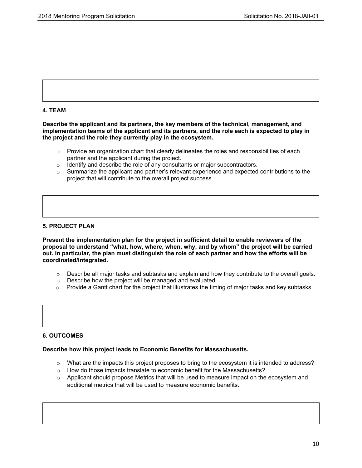

## **4. TEAM**

**Describe the applicant and its partners, the key members of the technical, management, and implementation teams of the applicant and its partners, and the role each is expected to play in the project and the role they currently play in the ecosystem.**

- $\circ$  Provide an organization chart that clearly delineates the roles and responsibilities of each partner and the applicant during the project.
- o Identify and describe the role of any consultants or major subcontractors.
- $\circ$  Summarize the applicant and partner's relevant experience and expected contributions to the project that will contribute to the overall project success.

## **5. PROJECT PLAN**

**Present the implementation plan for the project in sufficient detail to enable reviewers of the proposal to understand "what, how, where, when, why, and by whom" the project will be carried out. In particular, the plan must distinguish the role of each partner and how the efforts will be coordinated/integrated.**

- $\circ$  Describe all major tasks and subtasks and explain and how they contribute to the overall goals.
- o Describe how the project will be managed and evaluated
- $\circ$  Provide a Gantt chart for the project that illustrates the timing of major tasks and key subtasks.

## **6. OUTCOMES**

## **Describe how this project leads to Economic Benefits for Massachusetts.**

- $\circ$  What are the impacts this project proposes to bring to the ecosystem it is intended to address?
- o How do those impacts translate to economic benefit for the Massachusetts?
- $\circ$  Applicant should propose Metrics that will be used to measure impact on the ecosystem and additional metrics that will be used to measure economic benefits.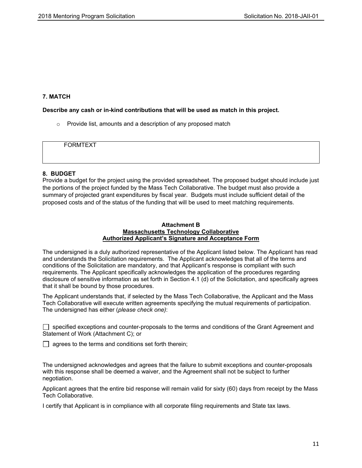## **7. MATCH**

## **Describe any cash or in-kind contributions that will be used as match in this project.**

o Provide list, amounts and a description of any proposed match

FORMTEXT

## **8. BUDGET**

Provide a budget for the project using the provided spreadsheet. The proposed budget should include just the portions of the project funded by the Mass Tech Collaborative. The budget must also provide a summary of projected grant expenditures by fiscal year. Budgets must include sufficient detail of the proposed costs and of the status of the funding that will be used to meet matching requirements.

## **Attachment B Massachusetts Technology Collaborative Authorized Applicant's Signature and Acceptance Form**

The undersigned is a duly authorized representative of the Applicant listed below. The Applicant has read and understands the Solicitation requirements. The Applicant acknowledges that all of the terms and conditions of the Solicitation are mandatory, and that Applicant's response is compliant with such requirements. The Applicant specifically acknowledges the application of the procedures regarding disclosure of sensitive information as set forth in Section 4.1 (d) of the Solicitation, and specifically agrees that it shall be bound by those procedures.

The Applicant understands that, if selected by the Mass Tech Collaborative, the Applicant and the Mass Tech Collaborative will execute written agreements specifying the mutual requirements of participation. The undersigned has either (*please check one)*:

specified exceptions and counter-proposals to the terms and conditions of the Grant Agreement and Statement of Work (Attachment C); or

 $\Box$  agrees to the terms and conditions set forth therein;

The undersigned acknowledges and agrees that the failure to submit exceptions and counter-proposals with this response shall be deemed a waiver, and the Agreement shall not be subject to further negotiation.

Applicant agrees that the entire bid response will remain valid for sixty (60) days from receipt by the Mass Tech Collaborative.

I certify that Applicant is in compliance with all corporate filing requirements and State tax laws.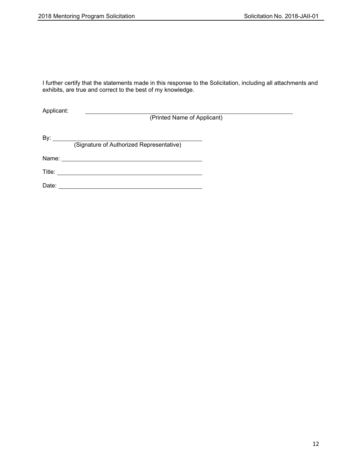I further certify that the statements made in this response to the Solicitation, including all attachments and exhibits, are true and correct to the best of my knowledge.

Applicant:

(Printed Name of Applicant)

By: (Signature of Authorized Representative) Name: Title:

Date: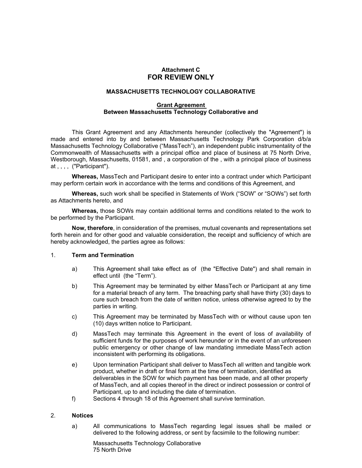## **Attachment C FOR REVIEW ONLY**

## **MASSACHUSETTS TECHNOLOGY COLLABORATIVE**

### **Grant Agreement Between Massachusetts Technology Collaborative and**

This Grant Agreement and any Attachments hereunder (collectively the "Agreement") is made and entered into by and between Massachusetts Technology Park Corporation d/b/a Massachusetts Technology Collaborative ("MassTech"), an independent public instrumentality of the Commonwealth of Massachusetts with a principal office and place of business at 75 North Drive, Westborough, Massachusetts, 01581, and , a corporation of the , with a principal place of business at , , , , ("Participant").

**Whereas,** MassTech and Participant desire to enter into a contract under which Participant may perform certain work in accordance with the terms and conditions of this Agreement, and

**Whereas,** such work shall be specified in Statements of Work ("SOW" or "SOWs") set forth as Attachments hereto, and

**Whereas,** those SOWs may contain additional terms and conditions related to the work to be performed by the Participant.

**Now, therefore**, in consideration of the premises, mutual covenants and representations set forth herein and for other good and valuable consideration, the receipt and sufficiency of which are hereby acknowledged, the parties agree as follows:

## 1. **Term and Termination**

- a) This Agreement shall take effect as of (the "Effective Date") and shall remain in effect until (the "Term").
- b) This Agreement may be terminated by either MassTech or Participant at any time for a material breach of any term. The breaching party shall have thirty (30) days to cure such breach from the date of written notice, unless otherwise agreed to by the parties in writing.
- c) This Agreement may be terminated by MassTech with or without cause upon ten (10) days written notice to Participant.
- d) MassTech may terminate this Agreement in the event of loss of availability of sufficient funds for the purposes of work hereunder or in the event of an unforeseen public emergency or other change of law mandating immediate MassTech action inconsistent with performing its obligations.
- e) Upon termination Participant shall deliver to MassTech all written and tangible work product, whether in draft or final form at the time of termination, identified as deliverables in the SOW for which payment has been made, and all other property of MassTech, and all copies thereof in the direct or indirect possession or control of Participant, up to and including the date of termination.
- f) Sections 4 through 18 of this Agreement shall survive termination.

## 2. **Notices**

a) All communications to MassTech regarding legal issues shall be mailed or delivered to the following address, or sent by facsimile to the following number:

Massachusetts Technology Collaborative 75 North Drive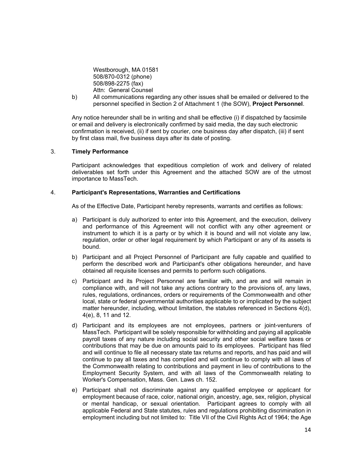Westborough, MA 01581 508/870-0312 (phone) 508/898-2275 (fax) Attn: General Counsel

b) All communications regarding any other issues shall be emailed or delivered to the personnel specified in Section 2 of Attachment 1 (the SOW), **Project Personnel**.

Any notice hereunder shall be in writing and shall be effective (i) if dispatched by facsimile or email and delivery is electronically confirmed by said media, the day such electronic confirmation is received, (ii) if sent by courier, one business day after dispatch, (iii) if sent by first class mail, five business days after its date of posting.

#### 3. **Timely Performance**

Participant acknowledges that expeditious completion of work and delivery of related deliverables set forth under this Agreement and the attached SOW are of the utmost importance to MassTech.

#### 4. **Participant's Representations, Warranties and Certifications**

As of the Effective Date, Participant hereby represents, warrants and certifies as follows:

- a) Participant is duly authorized to enter into this Agreement, and the execution, delivery and performance of this Agreement will not conflict with any other agreement or instrument to which it is a party or by which it is bound and will not violate any law, regulation, order or other legal requirement by which Participant or any of its assets is bound.
- b) Participant and all Project Personnel of Participant are fully capable and qualified to perform the described work and Participant's other obligations hereunder, and have obtained all requisite licenses and permits to perform such obligations.
- c) Participant and its Project Personnel are familiar with, and are and will remain in compliance with, and will not take any actions contrary to the provisions of, any laws, rules, regulations, ordinances, orders or requirements of the Commonwealth and other local, state or federal governmental authorities applicable to or implicated by the subject matter hereunder, including, without limitation, the statutes referenced in Sections 4(d), 4(e), 8, 11 and 12.
- d) Participant and its employees are not employees, partners or joint-venturers of MassTech. Participant will be solely responsible for withholding and paying all applicable payroll taxes of any nature including social security and other social welfare taxes or contributions that may be due on amounts paid to its employees. Participant has filed and will continue to file all necessary state tax returns and reports, and has paid and will continue to pay all taxes and has complied and will continue to comply with all laws of the Commonwealth relating to contributions and payment in lieu of contributions to the Employment Security System, and with all laws of the Commonwealth relating to Worker's Compensation, Mass. Gen. Laws ch. 152.
- e) Participant shall not discriminate against any qualified employee or applicant for employment because of race, color, national origin, ancestry, age, sex, religion, physical or mental handicap, or sexual orientation. Participant agrees to comply with all applicable Federal and State statutes, rules and regulations prohibiting discrimination in employment including but not limited to: Title VII of the Civil Rights Act of 1964; the Age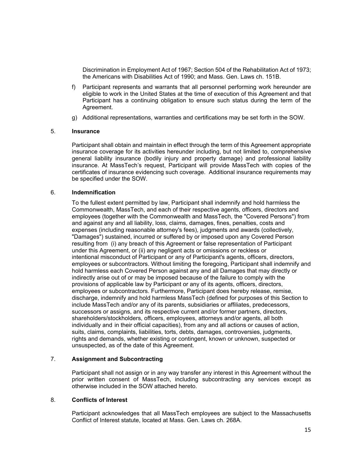Discrimination in Employment Act of 1967; Section 504 of the Rehabilitation Act of 1973; the Americans with Disabilities Act of 1990; and Mass. Gen. Laws ch. 151B.

- f) Participant represents and warrants that all personnel performing work hereunder are eligible to work in the United States at the time of execution of this Agreement and that Participant has a continuing obligation to ensure such status during the term of the Agreement.
- g) Additional representations, warranties and certifications may be set forth in the SOW.

#### 5. **Insurance**

Participant shall obtain and maintain in effect through the term of this Agreement appropriate insurance coverage for its activities hereunder including, but not limited to, comprehensive general liability insurance (bodily injury and property damage) and professional liability insurance. At MassTech's request, Participant will provide MassTech with copies of the certificates of insurance evidencing such coverage. Additional insurance requirements may be specified under the SOW.

#### 6. **Indemnification**

To the fullest extent permitted by law, Participant shall indemnify and hold harmless the Commonwealth, MassTech, and each of their respective agents, officers, directors and employees (together with the Commonwealth and MassTech, the "Covered Persons") from and against any and all liability, loss, claims, damages, fines, penalties, costs and expenses (including reasonable attorney's fees), judgments and awards (collectively, "Damages") sustained, incurred or suffered by or imposed upon any Covered Person resulting from (i) any breach of this Agreement or false representation of Participant under this Agreement, or (ii) any negligent acts or omissions or reckless or intentional misconduct of Participant or any of Participant's agents, officers, directors, employees or subcontractors. Without limiting the foregoing, Participant shall indemnify and hold harmless each Covered Person against any and all Damages that may directly or indirectly arise out of or may be imposed because of the failure to comply with the provisions of applicable law by Participant or any of its agents, officers, directors, employees or subcontractors. Furthermore, Participant does hereby release, remise, discharge, indemnify and hold harmless MassTech (defined for purposes of this Section to include MassTech and/or any of its parents, subsidiaries or affiliates, predecessors, successors or assigns, and its respective current and/or former partners, directors, shareholders/stockholders, officers, employees, attorneys and/or agents, all both individually and in their official capacities), from any and all actions or causes of action, suits, claims, complaints, liabilities, torts, debts, damages, controversies, judgments, rights and demands, whether existing or contingent, known or unknown, suspected or unsuspected, as of the date of this Agreement.

## 7. **Assignment and Subcontracting**

Participant shall not assign or in any way transfer any interest in this Agreement without the prior written consent of MassTech, including subcontracting any services except as otherwise included in the SOW attached hereto.

## 8. **Conflicts of Interest**

Participant acknowledges that all MassTech employees are subject to the Massachusetts Conflict of Interest statute, located at Mass. Gen. Laws ch. 268A.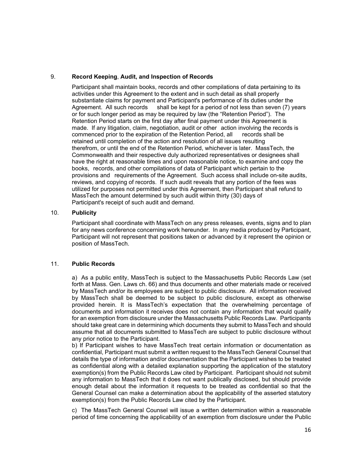## 9. **Record Keeping**, **Audit, and Inspection of Records**

Participant shall maintain books, records and other compilations of data pertaining to its activities under this Agreement to the extent and in such detail as shall properly substantiate claims for payment and Participant's performance of its duties under the Agreement. All such records shall be kept for a period of not less than seven (7) years or for such longer period as may be required by law (the "Retention Period"). The Retention Period starts on the first day after final payment under this Agreement is made. If any litigation, claim, negotiation, audit or other action involving the records is commenced prior to the expiration of the Retention Period, all records shall be retained until completion of the action and resolution of all issues resulting therefrom, or until the end of the Retention Period, whichever is later. MassTech, the Commonwealth and their respective duly authorized representatives or designees shall have the right at reasonable times and upon reasonable notice, to examine and copy the books, records, and other compilations of data of Participant which pertain to the provisions and requirements of the Agreement. Such access shall include on-site audits, reviews, and copying of records. If such audit reveals that any portion of the fees was utilized for purposes not permitted under this Agreement, then Participant shall refund to MassTech the amount determined by such audit within thirty (30) days of Participant's receipt of such audit and demand.

## 10. **Publicity**

Participant shall coordinate with MassTech on any press releases, events, signs and to plan for any news conference concerning work hereunder. In any media produced by Participant, Participant will not represent that positions taken or advanced by it represent the opinion or position of MassTech.

## 11. **Public Records**

a) As a public entity, MassTech is subject to the Massachusetts Public Records Law (set forth at Mass. Gen. Laws ch. 66) and thus documents and other materials made or received by MassTech and/or its employees are subject to public disclosure. All information received by MassTech shall be deemed to be subject to public disclosure, except as otherwise provided herein. It is MassTech's expectation that the overwhelming percentage of documents and information it receives does not contain any information that would qualify for an exemption from disclosure under the Massachusetts Public Records Law. Participants should take great care in determining which documents they submit to MassTech and should assume that all documents submitted to MassTech are subject to public disclosure without any prior notice to the Participant.

b) If Participant wishes to have MassTech treat certain information or documentation as confidential, Participant must submit a written request to the MassTech General Counsel that details the type of information and/or documentation that the Participant wishes to be treated as confidential along with a detailed explanation supporting the application of the statutory exemption(s) from the Public Records Law cited by Participant. Participant should not submit any information to MassTech that it does not want publically disclosed, but should provide enough detail about the information it requests to be treated as confidential so that the General Counsel can make a determination about the applicability of the asserted statutory exemption(s) from the Public Records Law cited by the Participant.

c) The MassTech General Counsel will issue a written determination within a reasonable period of time concerning the applicability of an exemption from disclosure under the Public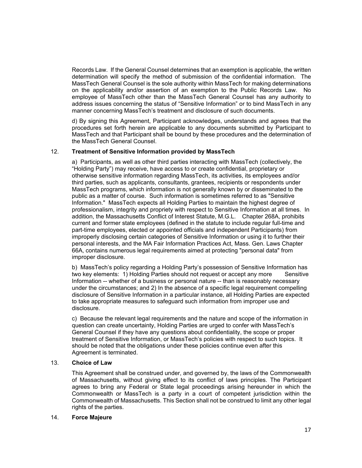Records Law. If the General Counsel determines that an exemption is applicable, the written determination will specify the method of submission of the confidential information. The MassTech General Counsel is the sole authority within MassTech for making determinations on the applicability and/or assertion of an exemption to the Public Records Law. No employee of MassTech other than the MassTech General Counsel has any authority to address issues concerning the status of "Sensitive Information" or to bind MassTech in any manner concerning MassTech's treatment and disclosure of such documents.

d) By signing this Agreement, Participant acknowledges, understands and agrees that the procedures set forth herein are applicable to any documents submitted by Participant to MassTech and that Participant shall be bound by these procedures and the determination of the MassTech General Counsel.

## 12. **Treatment of Sensitive Information provided by MassTech**

a) Participants, as well as other third parties interacting with MassTech (collectively, the "Holding Party") may receive, have access to or create confidential, proprietary or otherwise sensitive information regarding MassTech, its activities, its employees and/or third parties, such as applicants, consultants, grantees, recipients or respondents under MassTech programs, which information is not generally known by or disseminated to the public as a matter of course. Such information is sometimes referred to as "Sensitive Information." MassTech expects all Holding Parties to maintain the highest degree of professionalism, integrity and propriety with respect to Sensitive Information at all times. In addition, the Massachusetts Conflict of Interest Statute, M.G.L. Chapter 268A, prohibits current and former state employees (defined in the statute to include regular full-time and part-time employees, elected or appointed officials and independent Participants) from improperly disclosing certain categories of Sensitive Information or using it to further their personal interests, and the MA Fair Information Practices Act, Mass. Gen. Laws Chapter 66A, contains numerous legal requirements aimed at protecting "personal data" from improper disclosure.

b) MassTech's policy regarding a Holding Party's possession of Sensitive Information has two key elements: 1) Holding Parties should not request or accept any more Sensitive Information -- whether of a business or personal nature -- than is reasonably necessary under the circumstances; and 2) In the absence of a specific legal requirement compelling disclosure of Sensitive Information in a particular instance, all Holding Parties are expected to take appropriate measures to safeguard such information from improper use and disclosure.

c) Because the relevant legal requirements and the nature and scope of the information in question can create uncertainty, Holding Parties are urged to confer with MassTech's General Counsel if they have any questions about confidentiality, the scope or proper treatment of Sensitive Information, or MassTech's policies with respect to such topics. It should be noted that the obligations under these policies continue even after this Agreement is terminated.

## 13. **Choice of Law**

This Agreement shall be construed under, and governed by, the laws of the Commonwealth of Massachusetts, without giving effect to its conflict of laws principles. The Participant agrees to bring any Federal or State legal proceedings arising hereunder in which the Commonwealth or MassTech is a party in a court of competent jurisdiction within the Commonwealth of Massachusetts. This Section shall not be construed to limit any other legal rights of the parties.

## 14. **Force Majeure**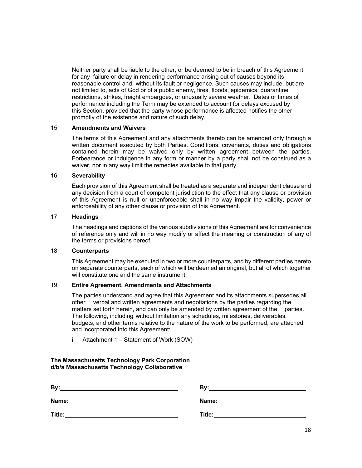Neither party shall be liable to the other, or be deemed to be in breach of this Agreement for any failure or delay in rendering performance arising out of causes beyond its reasonable control and without its fault or negligence. Such causes may include, but are not limited to, acts of God or of a public enemy, fires, floods, epidemics, quarantine restrictions, strikes, freight embargoes, or unusually severe weather. Dates or times of performance including the Term may be extended to account for delays excused by this Section, provided that the party whose performance is affected notifies the other promptly of the existence and nature of such delay.

## 15. **Amendments and Waivers**

The terms of this Agreement and any attachments thereto can be amended only through a written document executed by both Parties. Conditions, covenants, duties and obligations contained herein may be waived only by written agreement between the parties. Forbearance or indulgence in any form or manner by a party shall not be construed as a waiver, nor in any way limit the remedies available to that party.

## 16. **Severability**

Each provision of this Agreement shall be treated as a separate and independent clause and any decision from a court of competent jurisdiction to the effect that any clause or provision of this Agreement is null or unenforceable shall in no way impair the validity, power or enforceability of any other clause or provision of this Agreement.

## 17. **Headings**

The headings and captions of the various subdivisions of this Agreement are for convenience of reference only and will in no way modify or affect the meaning or construction of any of the terms or provisions hereof.

## 18. **Counterparts**

This Agreement may be executed in two or more counterparts, and by different parties hereto on separate counterparts, each of which will be deemed an original, but all of which together will constitute one and the same instrument.

## 19 **Entire Agreement, Amendments and Attachments**

The parties understand and agree that this Agreement and its attachments supersedes all other verbal and written agreements and negotiations by the parties regarding the matters set forth herein, and can only be amended by written agreement of the parties. The following, including without limitation any schedules, milestones, deliverables, budgets, and other terms relative to the nature of the work to be performed, are attached and incorporated into this Agreement:

i. Attachment 1 – Statement of Work (SOW)

#### **The Massachusetts Technology Park Corporation d/b/a Massachusetts Technology Collaborative**

| By:    | Bv:    |
|--------|--------|
| Name:  | Name:  |
| Title: | Title: |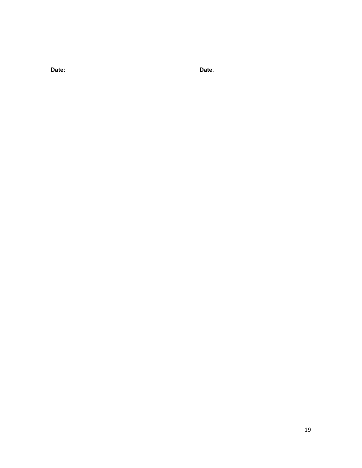**Date: Date**: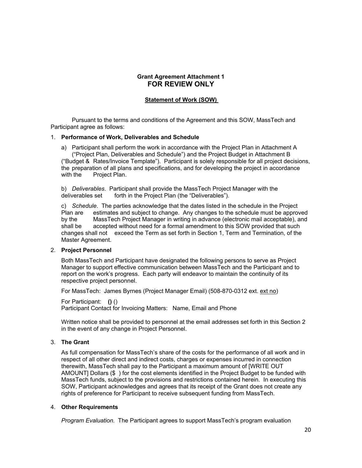## **Grant Agreement Attachment 1 FOR REVIEW ONLY**

## **Statement of Work (SOW)**

Pursuant to the terms and conditions of the Agreement and this SOW, MassTech and Participant agree as follows:

#### 1. **Performance of Work, Deliverables and Schedule**

a) Participant shall perform the work in accordance with the Project Plan in Attachment A ("Project Plan, Deliverables and Schedule") and the Project Budget in Attachment B ("Budget & Rates/Invoice Template"). Participant is solely responsible for all project decisions, the preparation of all plans and specifications, and for developing the project in accordance with the Project Plan.

b) *Deliverables*. Participant shall provide the MassTech Project Manager with the deliverables set forth in the Project Plan (the "Deliverables").

c) *Schedule*. The parties acknowledge that the dates listed in the schedule in the Project Plan are estimates and subject to change. Any changes to the schedule must be approved by the MassTech Project Manager in writing in advance (electronic mail acceptable), and shall be accepted without need for a formal amendment to this SOW provided that such changes shall not exceed the Term as set forth in Section 1, Term and Termination, of the Master Agreement.

## 2. **Project Personnel**

Both MassTech and Participant have designated the following persons to serve as Project Manager to support effective communication between MassTech and the Participant and to report on the work's progress. Each party will endeavor to maintain the continuity of its respective project personnel.

For MassTech: James Byrnes (Project Manager Email) (508-870-0312 ext. ext no)

For Participant: **()** () Participant Contact for Invoicing Matters: Name, Email and Phone

Written notice shall be provided to personnel at the email addresses set forth in this Section 2 in the event of any change in Project Personnel.

## 3. **The Grant**

As full compensation for MassTech's share of the costs for the performance of all work and in respect of all other direct and indirect costs, charges or expenses incurred in connection therewith, MassTech shall pay to the Participant a maximum amount of [WRITE OUT AMOUNT] Dollars (\$ ) for the cost elements identified in the Project Budget to be funded with MassTech funds, subject to the provisions and restrictions contained herein. In executing this SOW, Participant acknowledges and agrees that its receipt of the Grant does not create any rights of preference for Participant to receive subsequent funding from MassTech.

#### 4. **Other Requirements**

*Program Evaluation.* The Participant agrees to support MassTech's program evaluation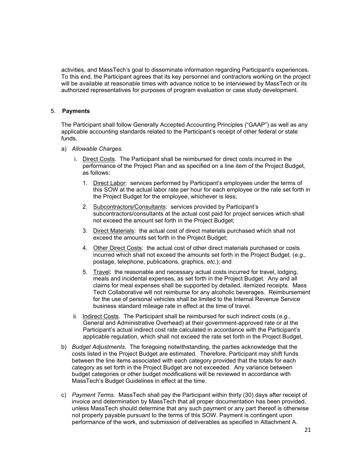activities, and MassTech's goal to disseminate information regarding Participant's experiences. To this end, the Participant agrees that its key personnel and contractors working on the project will be available at reasonable times with advance notice to be interviewed by MassTech or its authorized representatives for purposes of program evaluation or case study development.

## 5. **Payments**

The Participant shall follow Generally Accepted Accounting Principles ("GAAP") as well as any applicable accounting standards related to the Participant's receipt of other federal or state funds.

- a) *Allowable Charges.*
	- i. Direct Costs. The Participant shall be reimbursed for direct costs incurred in the performance of the Project Plan and as specified on a line item of the Project Budget, as follows:
		- 1. Direct Labor: services performed by Participant's employees under the terms of this SOW at the actual labor rate per hour for each employee or the rate set forth in the Project Budget for the employee, whichever is less;
		- 2. Subcontractors/Consultants: services provided by Participant's subcontractors/consultants at the actual cost paid for project services which shall not exceed the amount set forth in the Project Budget;
		- 3. Direct Materials: the actual cost of direct materials purchased which shall not exceed the amounts set forth in the Project Budget;
		- 4. Other Direct Costs: the actual cost of other direct materials purchased or costs incurred which shall not exceed the amounts set forth in the Project Budget. (*e.g.,* postage, telephone, publications, graphics, *etc.*); and
		- 5. Travel: the reasonable and necessary actual costs incurred for travel, lodging, meals and incidental expenses, as set forth in the Project Budget. Any and all claims for meal expenses shall be supported by detailed, itemized receipts. Mass Tech Collaborative will not reimburse for any alcoholic beverages. Reimbursement for the use of personal vehicles shall be limited to the Internal Revenue Service business standard mileage rate in effect at the time of travel.
	- ii. Indirect Costs. The Participant shall be reimbursed for such indirect costs (*e.g.,* General and Administrative Overhead) at their government-approved rate or at the Participant's actual indirect cost rate calculated in accordance with the Participant's applicable regulation, which shall not exceed the rate set forth in the Project Budget.
- b) *Budget Adjustments*. The foregoing notwithstanding, the parties acknowledge that the costs listed in the Project Budget are estimated. Therefore, Participant may shift funds between the line items associated with each category provided that the totals for each category as set forth in the Project Budget are not exceeded. Any variance between budget categories or other budget modifications will be reviewed in accordance with MassTech's Budget Guidelines in effect at the time.
- c) *Payment Terms.* MassTech shall pay the Participant within thirty (30) days after receipt of invoice and determination by MassTech that all proper documentation has been provided, unless MassTech should determine that any such payment or any part thereof is otherwise not properly payable pursuant to the terms of this SOW. Payment is contingent upon performance of the work, and submission of deliverables as specified in Attachment A.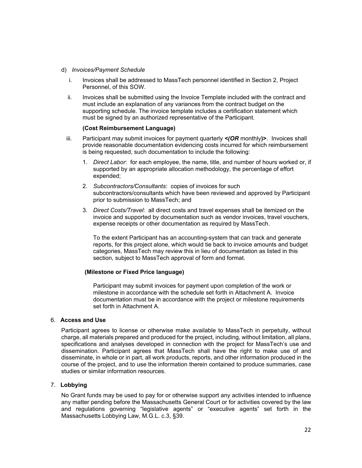- d) *Invoices/Payment Schedule*
	- i. Invoices shall be addressed to MassTech personnel identified in Section 2, Project Personnel, of this SOW.
	- ii. Invoices shall be submitted using the Invoice Template included with the contract and must include an explanation of any variances from the contract budget on the supporting schedule. The invoice template includes a certification statement which must be signed by an authorized representative of the Participant.

#### **(Cost Reimbursement Language)**

- iii. Participant may submit invoices for payment quarterly *<(OR* monthly**)>**. Invoices shall provide reasonable documentation evidencing costs incurred for which reimbursement is being requested, such documentation to include the following:
	- 1. *Direct Labor*: for each employee, the name, title, and number of hours worked or, if supported by an appropriate allocation methodology, the percentage of effort expended;
	- 2. *Subcontractors/Consultants*: copies of invoices for such subcontractors/consultants which have been reviewed and approved by Participant prior to submission to MassTech; and
	- 3. *Direct Costs/Travel*: all direct costs and travel expenses shall be itemized on the invoice and supported by documentation such as vendor invoices, travel vouchers, expense receipts or other documentation as required by MassTech.

To the extent Participant has an accounting-system that can track and generate reports, for this project alone, which would tie back to invoice amounts and budget categories, MassTech may review this in lieu of documentation as listed in this section, subject to MassTech approval of form and format.

## **(Milestone or Fixed Price language)**

Participant may submit invoices for payment upon completion of the work or milestone in accordance with the schedule set forth in Attachment A. Invoice documentation must be in accordance with the project or milestone requirements set forth in Attachment A.

#### 6. **Access and Use**

Participant agrees to license or otherwise make available to MassTech in perpetuity, without charge, all materials prepared and produced for the project, including, without limitation, all plans, specifications and analyses developed in connection with the project for MassTech's use and dissemination. Participant agrees that MassTech shall have the right to make use of and disseminate, in whole or in part, all work products, reports, and other information produced in the course of the project, and to use the information therein contained to produce summaries, case studies or similar information resources.

## 7. **Lobbying**

No Grant funds may be used to pay for or otherwise support any activities intended to influence any matter pending before the Massachusetts General Court or for activities covered by the law and regulations governing "legislative agents" or "executive agents" set forth in the Massachusetts Lobbying Law, M.G.L. c.3, §39.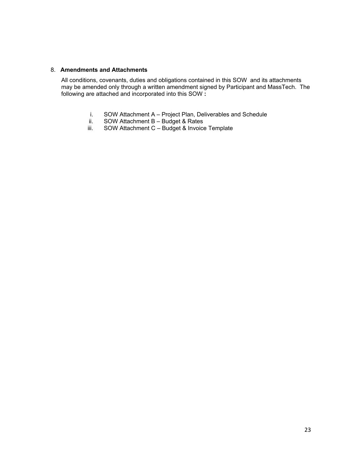## 8. **Amendments and Attachments**

All conditions, covenants, duties and obligations contained in this SOW and its attachments may be amended only through a written amendment signed by Participant and MassTech. The following are attached and incorporated into this SOW **:**

- i. SOW Attachment A Project Plan, Deliverables and Schedule
- ii. SOW Attachment B Budget & Rates
- iii. SOW Attachment C Budget & Invoice Template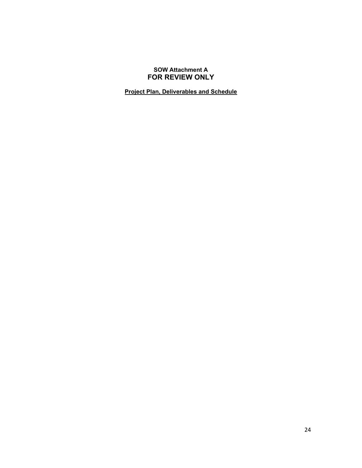## **SOW Attachment A FOR REVIEW ONLY**

**Project Plan, Deliverables and Schedule**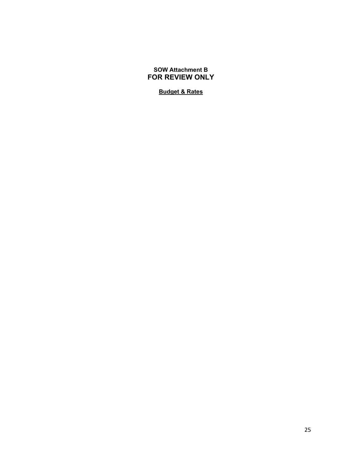## **SOW Attachment B FOR REVIEW ONLY**

## **Budget & Rates**